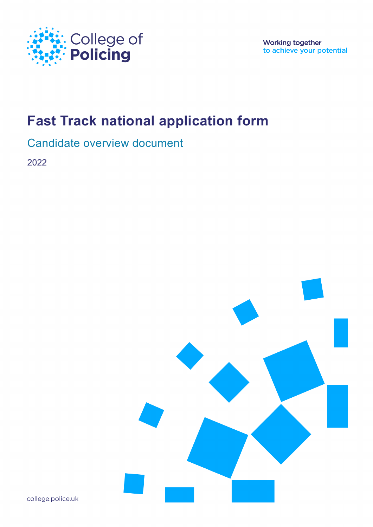

**Working together** to achieve your potential

# **Fast Track national application form**

### Candidate overview document

2022



college.police.uk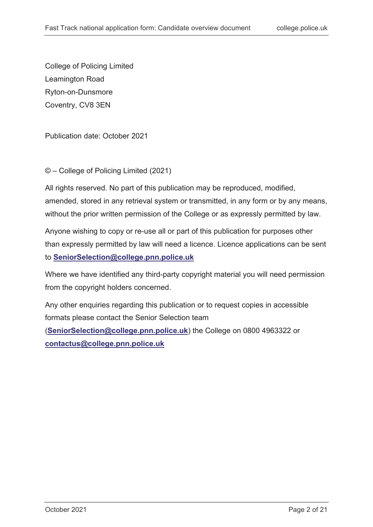College of Policing Limited Leamington Road Ryton-on-Dunsmore Coventry, CV8 3EN

Publication date: October 2021

© – College of Policing Limited (2021)

All rights reserved. No part of this publication may be reproduced, modified, amended, stored in any retrieval system or transmitted, in any form or by any means, without the prior written permission of the College or as expressly permitted by law.

Anyone wishing to copy or re-use all or part of this publication for purposes other than expressly permitted by law will need a licence. Licence applications can be sent to **[SeniorSelection@college.pnn.police.uk](mailto:SeniorSelection@college.pnn.police.uk)**

Where we have identified any third-party copyright material you will need permission from the copyright holders concerned.

Any other enquiries regarding this publication or to request copies in accessible formats please contact the Senior Selection team

(**[SeniorSelection@college.pnn.police.uk](mailto:SeniorSelection@college.pnn.police.uk)**) the College on 0800 4963322 or **[contactus@college.pnn.police.uk](mailto:contactus@college.pnn.police.uk)**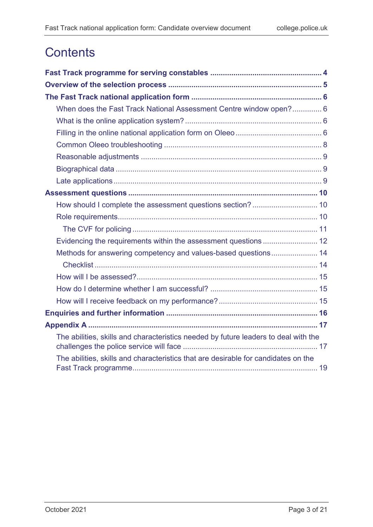# **Contents**

| When does the Fast Track National Assessment Centre window open? 6                  |
|-------------------------------------------------------------------------------------|
|                                                                                     |
|                                                                                     |
|                                                                                     |
|                                                                                     |
|                                                                                     |
|                                                                                     |
|                                                                                     |
|                                                                                     |
|                                                                                     |
|                                                                                     |
|                                                                                     |
| Methods for answering competency and values-based questions 14                      |
|                                                                                     |
|                                                                                     |
|                                                                                     |
|                                                                                     |
|                                                                                     |
|                                                                                     |
| The abilities, skills and characteristics needed by future leaders to deal with the |
| The abilities, skills and characteristics that are desirable for candidates on the  |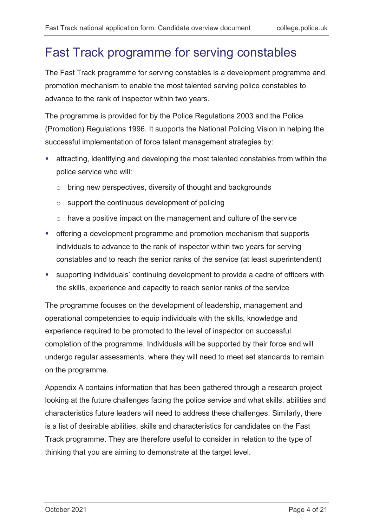## <span id="page-3-0"></span>Fast Track programme for serving constables

The Fast Track programme for serving constables is a development programme and promotion mechanism to enable the most talented serving police constables to advance to the rank of inspector within two years.

The programme is provided for by the Police Regulations 2003 and the Police (Promotion) Regulations 1996. It supports the National Policing Vision in helping the successful implementation of force talent management strategies by:

- attracting, identifying and developing the most talented constables from within the police service who will:
	- o bring new perspectives, diversity of thought and backgrounds
	- $\circ$  support the continuous development of policing
	- o have a positive impact on the management and culture of the service
- offering a development programme and promotion mechanism that supports individuals to advance to the rank of inspector within two years for serving constables and to reach the senior ranks of the service (at least superintendent)
- supporting individuals' continuing development to provide a cadre of officers with the skills, experience and capacity to reach senior ranks of the service

The programme focuses on the development of leadership, management and operational competencies to equip individuals with the skills, knowledge and experience required to be promoted to the level of inspector on successful completion of the programme. Individuals will be supported by their force and will undergo regular assessments, where they will need to meet set standards to remain on the programme.

Appendix A contains information that has been gathered through a research project looking at the future challenges facing the police service and what skills, abilities and characteristics future leaders will need to address these challenges. Similarly, there is a list of desirable abilities, skills and characteristics for candidates on the Fast Track programme. They are therefore useful to consider in relation to the type of thinking that you are aiming to demonstrate at the target level.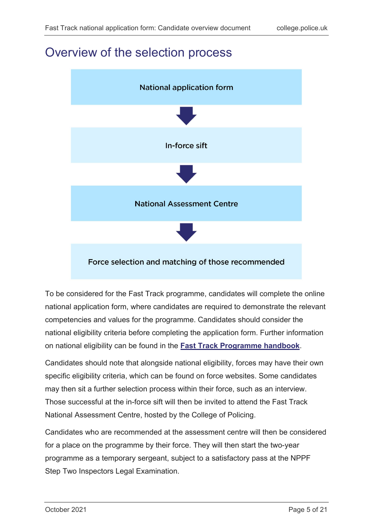### <span id="page-4-0"></span>Overview of the selection process



To be considered for the Fast Track programme, candidates will complete the online national application form, where candidates are required to demonstrate the relevant competencies and values for the programme. Candidates should consider the national eligibility criteria before completing the application form. Further information on national eligibility can be found in the **[Fast Track Programme handbook](https://paas-s3-broker-prod-lon-6453d964-1d1a-432a-9260-5e0ba7d2fc51.s3.eu-west-2.amazonaws.com/s3fs-public/fast-track-programme-handbook-2020_0.pdf)**.

Candidates should note that alongside national eligibility, forces may have their own specific eligibility criteria, which can be found on force websites. Some candidates may then sit a further selection process within their force, such as an interview. Those successful at the in-force sift will then be invited to attend the Fast Track National Assessment Centre, hosted by the College of Policing.

Candidates who are recommended at the assessment centre will then be considered for a place on the programme by their force. They will then start the two-year programme as a temporary sergeant, subject to a satisfactory pass at the NPPF Step Two Inspectors Legal Examination.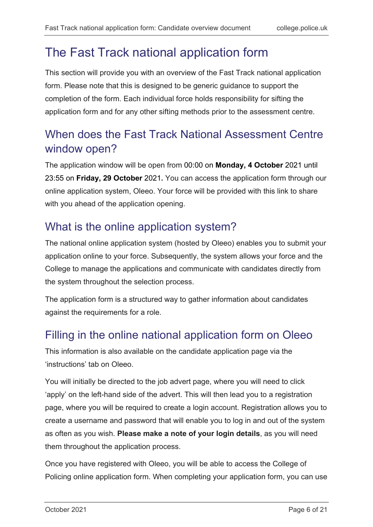# <span id="page-5-0"></span>The Fast Track national application form

This section will provide you with an overview of the Fast Track national application form. Please note that this is designed to be generic guidance to support the completion of the form. Each individual force holds responsibility for sifting the application form and for any other sifting methods prior to the assessment centre.

### <span id="page-5-1"></span>When does the Fast Track National Assessment Centre window open?

The application window will be open from 00:00 on **Monday, 4 October** 2021 until 23:55 on **Friday, 29 October** 2021**.** You can access the application form through our online application system, Oleeo. Your force will be provided with this link to share with you ahead of the application opening.

## <span id="page-5-2"></span>What is the online application system?

The national online application system (hosted by Oleeo) enables you to submit your application online to your force. Subsequently, the system allows your force and the College to manage the applications and communicate with candidates directly from the system throughout the selection process.

The application form is a structured way to gather information about candidates against the requirements for a role.

## <span id="page-5-3"></span>Filling in the online national application form on Oleeo

This information is also available on the candidate application page via the 'instructions' tab on Oleeo.

You will initially be directed to the job advert page, where you will need to click 'apply' on the left-hand side of the advert. This will then lead you to a registration page, where you will be required to create a login account. Registration allows you to create a username and password that will enable you to log in and out of the system as often as you wish. **Please make a note of your login details**, as you will need them throughout the application process.

Once you have registered with Oleeo, you will be able to access the College of Policing online application form. When completing your application form, you can use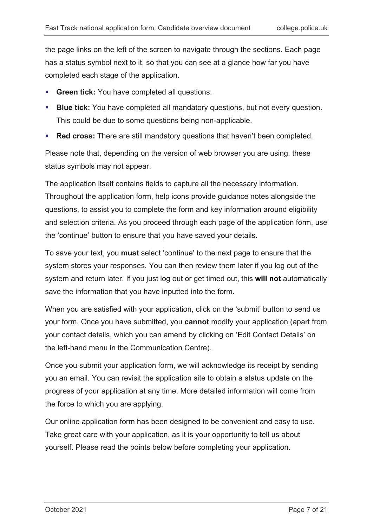the page links on the left of the screen to navigate through the sections. Each page has a status symbol next to it, so that you can see at a glance how far you have completed each stage of the application.

- **Green tick:** You have completed all questions.
- **Blue tick:** You have completed all mandatory questions, but not every question. This could be due to some questions being non-applicable.
- **Red cross:** There are still mandatory questions that haven't been completed.

Please note that, depending on the version of web browser you are using, these status symbols may not appear.

The application itself contains fields to capture all the necessary information. Throughout the application form, help icons provide guidance notes alongside the questions, to assist you to complete the form and key information around eligibility and selection criteria. As you proceed through each page of the application form, use the 'continue' button to ensure that you have saved your details.

To save your text, you **must** select 'continue' to the next page to ensure that the system stores your responses. You can then review them later if you log out of the system and return later. If you just log out or get timed out, this **will not** automatically save the information that you have inputted into the form.

When you are satisfied with your application, click on the 'submit' button to send us your form. Once you have submitted, you **cannot** modify your application (apart from your contact details, which you can amend by clicking on 'Edit Contact Details' on the left-hand menu in the Communication Centre).

Once you submit your application form, we will acknowledge its receipt by sending you an email. You can revisit the application site to obtain a status update on the progress of your application at any time. More detailed information will come from the force to which you are applying.

Our online application form has been designed to be convenient and easy to use. Take great care with your application, as it is your opportunity to tell us about yourself. Please read the points below before completing your application.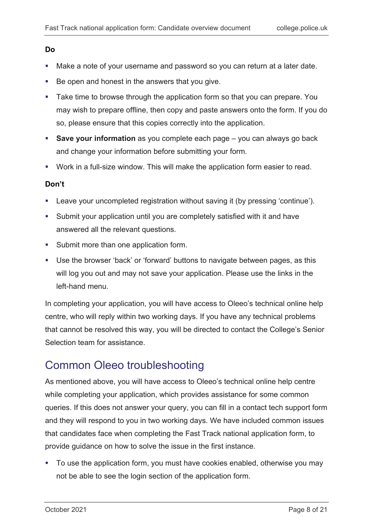#### **Do**

- Make a note of your username and password so you can return at a later date.
- Be open and honest in the answers that you give.
- **Take time to browse through the application form so that you can prepare. You** may wish to prepare offline, then copy and paste answers onto the form. If you do so, please ensure that this copies correctly into the application.
- **Save your information** as you complete each page you can always go back and change your information before submitting your form.
- Work in a full-size window. This will make the application form easier to read.

#### **Don't**

- Leave your uncompleted registration without saving it (by pressing 'continue').
- Submit your application until you are completely satisfied with it and have answered all the relevant questions.
- **Submit more than one application form.**
- Use the browser 'back' or 'forward' buttons to navigate between pages, as this will log you out and may not save your application. Please use the links in the left-hand menu.

In completing your application, you will have access to Oleeo's technical online help centre, who will reply within two working days. If you have any technical problems that cannot be resolved this way, you will be directed to contact the College's Senior Selection team for assistance.

### <span id="page-7-0"></span>Common Oleeo troubleshooting

As mentioned above, you will have access to Oleeo's technical online help centre while completing your application, which provides assistance for some common queries. If this does not answer your query, you can fill in a contact tech support form and they will respond to you in two working days. We have included common issues that candidates face when completing the Fast Track national application form, to provide guidance on how to solve the issue in the first instance.

• To use the application form, you must have cookies enabled, otherwise you may not be able to see the login section of the application form.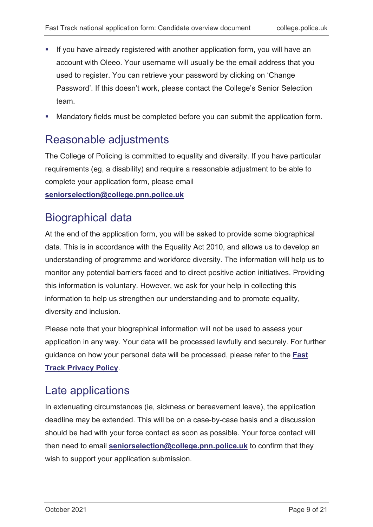- **If you have already registered with another application form, you will have an** account with Oleeo. Your username will usually be the email address that you used to register. You can retrieve your password by clicking on 'Change Password'. If this doesn't work, please contact the College's Senior Selection team.
- Mandatory fields must be completed before you can submit the application form.

### <span id="page-8-0"></span>Reasonable adjustments

The College of Policing is committed to equality and diversity. If you have particular requirements (eg, a disability) and require a reasonable adjustment to be able to complete your application form, please email

**[seniorselection@college.pnn.police.uk](mailto:seniorselection@college.pnn.police.uk)**

### <span id="page-8-1"></span>Biographical data

At the end of the application form, you will be asked to provide some biographical data. This is in accordance with the Equality Act 2010, and allows us to develop an understanding of programme and workforce diversity. The information will help us to monitor any potential barriers faced and to direct positive action initiatives. Providing this information is voluntary. However, we ask for your help in collecting this information to help us strengthen our understanding and to promote equality, diversity and inclusion.

Please note that your biographical information will not be used to assess your application in any way. Your data will be processed lawfully and securely. For further guidance on how your personal data will be processed, please refer to the **[Fast](https://www.college.police.uk/career-learning/learning/courses/fast-track-programme-serving-constables/fast-track-privacy-notice)  [Track Privacy Policy](https://www.college.police.uk/career-learning/learning/courses/fast-track-programme-serving-constables/fast-track-privacy-notice)**.

### <span id="page-8-2"></span>Late applications

In extenuating circumstances (ie, sickness or bereavement leave), the application deadline may be extended. This will be on a case-by-case basis and a discussion should be had with your force contact as soon as possible. Your force contact will then need to email **[seniorselection@college.pnn.police.uk](mailto:seniorselection@college.pnn.police.uk)** to confirm that they wish to support your application submission.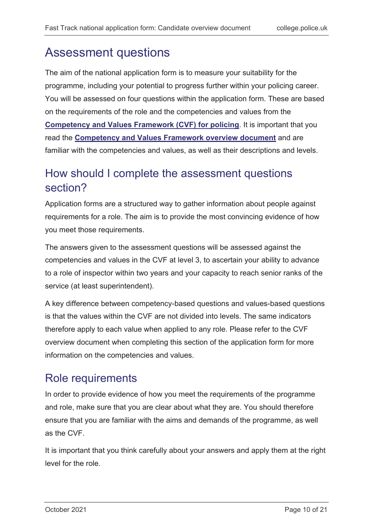## <span id="page-9-0"></span>Assessment questions

The aim of the national application form is to measure your suitability for the programme, including your potential to progress further within your policing career. You will be assessed on four questions within the application form. These are based on the requirements of the role and the competencies and values from the **[Competency and Values Framework \(CVF\) for policing](https://profdev.college.police.uk/competency-values/)**. It is important that you read the **[Competency and Values Framework overview document](https://www.college.police.uk/What-we-do/Development/competency-and-values-framework/Documents/Competency-and-Values-Framework-for-Policing_4.11.16.pdf)** and are familiar with the competencies and values, as well as their descriptions and levels.

### <span id="page-9-1"></span>How should I complete the assessment questions section?

Application forms are a structured way to gather information about people against requirements for a role. The aim is to provide the most convincing evidence of how you meet those requirements.

The answers given to the assessment questions will be assessed against the competencies and values in the CVF at level 3, to ascertain your ability to advance to a role of inspector within two years and your capacity to reach senior ranks of the service (at least superintendent).

A key difference between competency-based questions and values-based questions is that the values within the CVF are not divided into levels. The same indicators therefore apply to each value when applied to any role. Please refer to the CVF overview document when completing this section of the application form for more information on the competencies and values.

### <span id="page-9-2"></span>Role requirements

In order to provide evidence of how you meet the requirements of the programme and role, make sure that you are clear about what they are. You should therefore ensure that you are familiar with the aims and demands of the programme, as well as the CVF.

It is important that you think carefully about your answers and apply them at the right level for the role.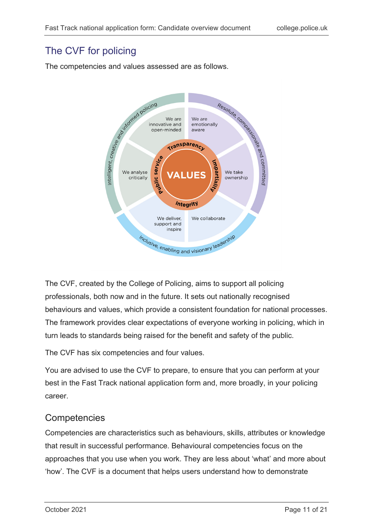### <span id="page-10-0"></span>The CVF for policing

The competencies and values assessed are as follows.



The CVF, created by the College of Policing, aims to support all policing professionals, both now and in the future. It sets out nationally recognised behaviours and values, which provide a consistent foundation for national processes. The framework provides clear expectations of everyone working in policing, which in turn leads to standards being raised for the benefit and safety of the public.

The CVF has six competencies and four values.

You are advised to use the CVF to prepare, to ensure that you can perform at your best in the Fast Track national application form and, more broadly, in your policing career.

### **Competencies**

Competencies are characteristics such as behaviours, skills, attributes or knowledge that result in successful performance. Behavioural competencies focus on the approaches that you use when you work. They are less about 'what' and more about 'how'. The CVF is a document that helps users understand how to demonstrate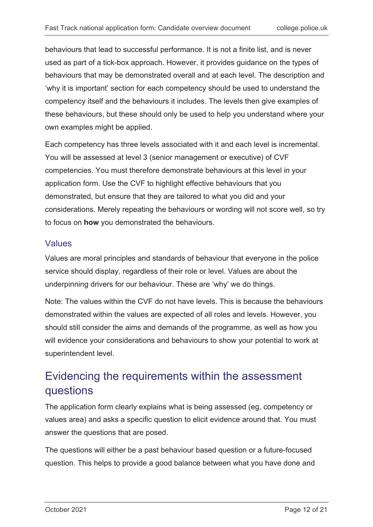behaviours that lead to successful performance. It is not a finite list, and is never used as part of a tick-box approach. However, it provides guidance on the types of behaviours that may be demonstrated overall and at each level. The description and 'why it is important' section for each competency should be used to understand the competency itself and the behaviours it includes. The levels then give examples of these behaviours, but these should only be used to help you understand where your own examples might be applied.

Each competency has three levels associated with it and each level is incremental. You will be assessed at level 3 (senior management or executive) of CVF competencies. You must therefore demonstrate behaviours at this level in your application form. Use the CVF to highlight effective behaviours that you demonstrated, but ensure that they are tailored to what you did and your considerations. Merely repeating the behaviours or wording will not score well, so try to focus on **how** you demonstrated the behaviours.

#### Values

Values are moral principles and standards of behaviour that everyone in the police service should display, regardless of their role or level. Values are about the underpinning drivers for our behaviour. These are 'why' we do things.

Note: The values within the CVF do not have levels. This is because the behaviours demonstrated within the values are expected of all roles and levels. However, you should still consider the aims and demands of the programme, as well as how you will evidence your considerations and behaviours to show your potential to work at superintendent level.

### <span id="page-11-0"></span>Evidencing the requirements within the assessment questions

The application form clearly explains what is being assessed (eg, competency or values area) and asks a specific question to elicit evidence around that. You must answer the questions that are posed.

The questions will either be a past behaviour based question or a future-focused question. This helps to provide a good balance between what you have done and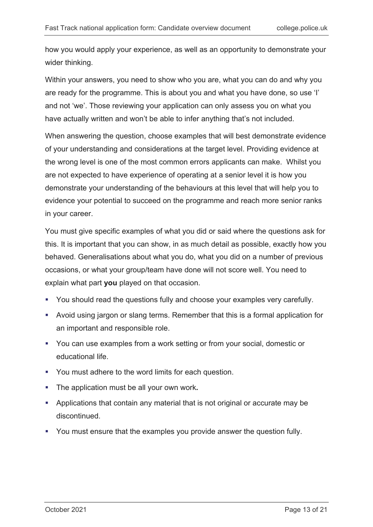how you would apply your experience, as well as an opportunity to demonstrate your wider thinking.

Within your answers, you need to show who you are, what you can do and why you are ready for the programme. This is about you and what you have done, so use 'I' and not 'we'. Those reviewing your application can only assess you on what you have actually written and won't be able to infer anything that's not included.

When answering the question, choose examples that will best demonstrate evidence of your understanding and considerations at the target level. Providing evidence at the wrong level is one of the most common errors applicants can make. Whilst you are not expected to have experience of operating at a senior level it is how you demonstrate your understanding of the behaviours at this level that will help you to evidence your potential to succeed on the programme and reach more senior ranks in your career.

You must give specific examples of what you did or said where the questions ask for this. It is important that you can show, in as much detail as possible, exactly how you behaved. Generalisations about what you do, what you did on a number of previous occasions, or what your group/team have done will not score well. You need to explain what part **you** played on that occasion.

- You should read the questions fully and choose your examples very carefully.
- Avoid using jargon or slang terms. Remember that this is a formal application for an important and responsible role.
- You can use examples from a work setting or from your social, domestic or educational life.
- You must adhere to the word limits for each question.
- The application must be all your own work**.**
- Applications that contain any material that is not original or accurate may be discontinued.
- You must ensure that the examples you provide answer the question fully.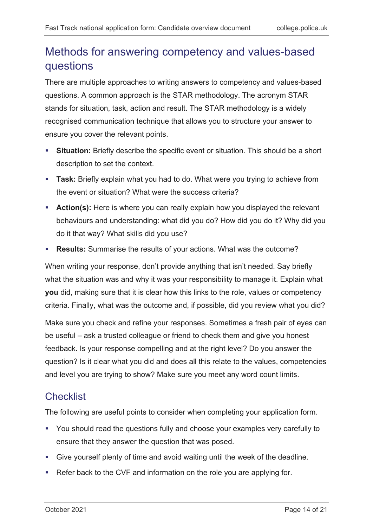### <span id="page-13-0"></span>Methods for answering competency and values-based questions

There are multiple approaches to writing answers to competency and values-based questions. A common approach is the STAR methodology. The acronym STAR stands for situation, task, action and result. The STAR methodology is a widely recognised communication technique that allows you to structure your answer to ensure you cover the relevant points.

- **Situation:** Briefly describe the specific event or situation. This should be a short description to set the context.
- **Task:** Briefly explain what you had to do. What were you trying to achieve from the event or situation? What were the success criteria?
- **Action(s):** Here is where you can really explain how you displayed the relevant behaviours and understanding: what did you do? How did you do it? Why did you do it that way? What skills did you use?
- **Results:** Summarise the results of your actions. What was the outcome?

When writing your response, don't provide anything that isn't needed. Say briefly what the situation was and why it was your responsibility to manage it. Explain what **you** did, making sure that it is clear how this links to the role, values or competency criteria. Finally, what was the outcome and, if possible, did you review what you did?

Make sure you check and refine your responses. Sometimes a fresh pair of eyes can be useful – ask a trusted colleague or friend to check them and give you honest feedback. Is your response compelling and at the right level? Do you answer the question? Is it clear what you did and does all this relate to the values, competencies and level you are trying to show? Make sure you meet any word count limits.

### <span id="page-13-1"></span>**Checklist**

The following are useful points to consider when completing your application form.

- You should read the questions fully and choose your examples very carefully to ensure that they answer the question that was posed.
- Give yourself plenty of time and avoid waiting until the week of the deadline.
- Refer back to the CVF and information on the role you are applying for.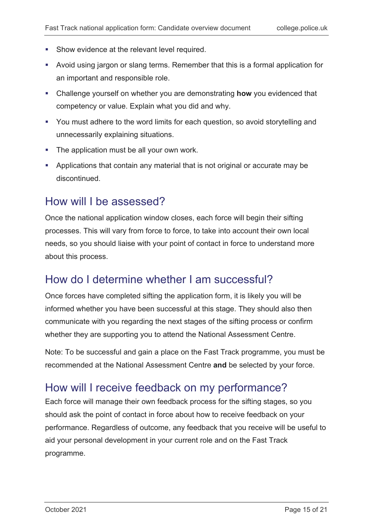- **Show evidence at the relevant level required.**
- Avoid using jargon or slang terms. Remember that this is a formal application for an important and responsible role.
- Challenge yourself on whether you are demonstrating **how** you evidenced that competency or value. Explain what you did and why.
- You must adhere to the word limits for each question, so avoid storytelling and unnecessarily explaining situations.
- **The application must be all your own work.**
- Applications that contain any material that is not original or accurate may be discontinued.

### <span id="page-14-0"></span>How will I be assessed?

Once the national application window closes, each force will begin their sifting processes. This will vary from force to force, to take into account their own local needs, so you should liaise with your point of contact in force to understand more about this process.

### <span id="page-14-1"></span>How do I determine whether I am successful?

Once forces have completed sifting the application form, it is likely you will be informed whether you have been successful at this stage. They should also then communicate with you regarding the next stages of the sifting process or confirm whether they are supporting you to attend the National Assessment Centre.

Note: To be successful and gain a place on the Fast Track programme, you must be recommended at the National Assessment Centre **and** be selected by your force.

### <span id="page-14-2"></span>How will I receive feedback on my performance?

Each force will manage their own feedback process for the sifting stages, so you should ask the point of contact in force about how to receive feedback on your performance. Regardless of outcome, any feedback that you receive will be useful to aid your personal development in your current role and on the Fast Track programme.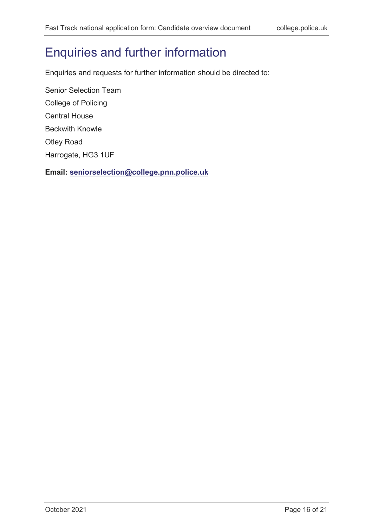# <span id="page-15-0"></span>Enquiries and further information

Enquiries and requests for further information should be directed to:

Senior Selection Team College of Policing Central House Beckwith Knowle Otley Road Harrogate, HG3 1UF

**Email: [seniorselection@college.pnn.police.uk](mailto:seniorselection@college.pnn.police.uk)**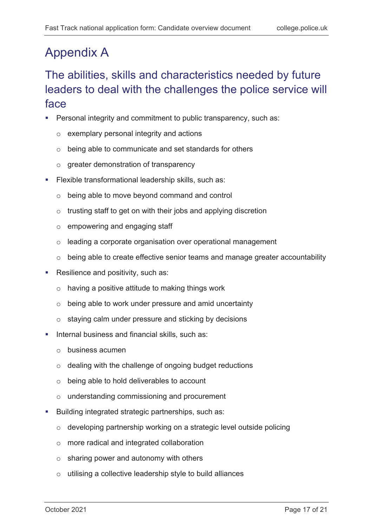# <span id="page-16-0"></span>Appendix A

## <span id="page-16-1"></span>The abilities, skills and characteristics needed by future leaders to deal with the challenges the police service will face

- **Personal integrity and commitment to public transparency, such as:** 
	- o exemplary personal integrity and actions
	- o being able to communicate and set standards for others
	- o greater demonstration of transparency
- Flexible transformational leadership skills, such as:
	- o being able to move beyond command and control
	- o trusting staff to get on with their jobs and applying discretion
	- o empowering and engaging staff
	- o leading a corporate organisation over operational management
	- o being able to create effective senior teams and manage greater accountability
- Resilience and positivity, such as:
	- $\circ$  having a positive attitude to making things work
	- o being able to work under pressure and amid uncertainty
	- o staying calm under pressure and sticking by decisions
- **Internal business and financial skills, such as:** 
	- o business acumen
	- o dealing with the challenge of ongoing budget reductions
	- o being able to hold deliverables to account
	- o understanding commissioning and procurement
- **Building integrated strategic partnerships, such as:** 
	- o developing partnership working on a strategic level outside policing
	- o more radical and integrated collaboration
	- o sharing power and autonomy with others
	- o utilising a collective leadership style to build alliances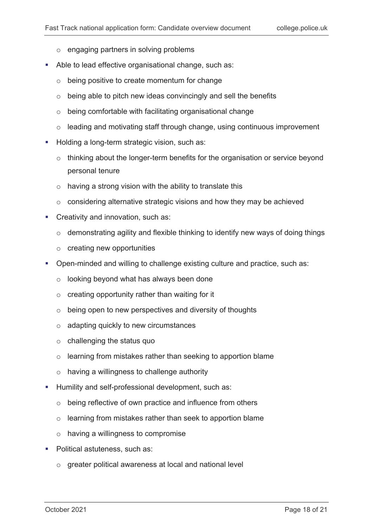- o engaging partners in solving problems
- Able to lead effective organisational change, such as:
	- o being positive to create momentum for change
	- o being able to pitch new ideas convincingly and sell the benefits
	- o being comfortable with facilitating organisational change
	- o leading and motivating staff through change, using continuous improvement
- Holding a long-term strategic vision, such as:
	- o thinking about the longer-term benefits for the organisation or service beyond personal tenure
	- $\circ$  having a strong vision with the ability to translate this
	- o considering alternative strategic visions and how they may be achieved
- **Creativity and innovation, such as:** 
	- o demonstrating agility and flexible thinking to identify new ways of doing things
	- o creating new opportunities
- Open-minded and willing to challenge existing culture and practice, such as:
	- o looking beyond what has always been done
	- o creating opportunity rather than waiting for it
	- o being open to new perspectives and diversity of thoughts
	- o adapting quickly to new circumstances
	- o challenging the status quo
	- o learning from mistakes rather than seeking to apportion blame
	- o having a willingness to challenge authority
- **Humility and self-professional development, such as:** 
	- o being reflective of own practice and influence from others
	- o learning from mistakes rather than seek to apportion blame
	- o having a willingness to compromise
- **Political astuteness, such as:** 
	- o greater political awareness at local and national level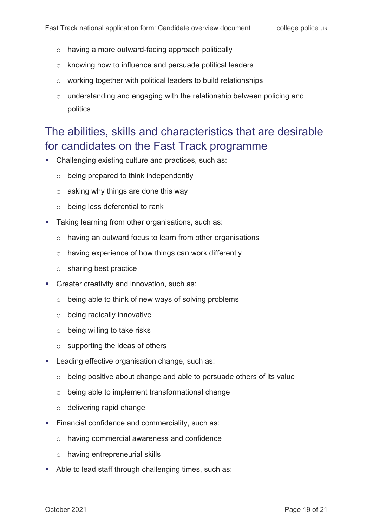- o having a more outward-facing approach politically
- o knowing how to influence and persuade political leaders
- o working together with political leaders to build relationships
- o understanding and engaging with the relationship between policing and politics

### <span id="page-18-0"></span>The abilities, skills and characteristics that are desirable for candidates on the Fast Track programme

- Challenging existing culture and practices, such as:
	- o being prepared to think independently
	- $\circ$  asking why things are done this way
	- o being less deferential to rank
- **Taking learning from other organisations, such as:** 
	- o having an outward focus to learn from other organisations
	- o having experience of how things can work differently
	- o sharing best practice
- Greater creativity and innovation, such as:
	- o being able to think of new ways of solving problems
	- o being radically innovative
	- o being willing to take risks
	- $\circ$  supporting the ideas of others
- Leading effective organisation change, such as:
	- o being positive about change and able to persuade others of its value
	- o being able to implement transformational change
	- o delivering rapid change
- **Financial confidence and commerciality, such as:** 
	- o having commercial awareness and confidence
	- o having entrepreneurial skills
- Able to lead staff through challenging times, such as: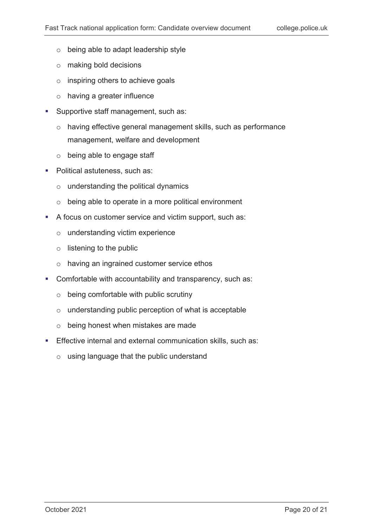- o being able to adapt leadership style
- o making bold decisions
- o inspiring others to achieve goals
- o having a greater influence
- **Supportive staff management, such as:** 
	- o having effective general management skills, such as performance management, welfare and development
	- o being able to engage staff
- Political astuteness, such as:
	- o understanding the political dynamics
	- o being able to operate in a more political environment
- A focus on customer service and victim support, such as:
	- o understanding victim experience
	- o listening to the public
	- o having an ingrained customer service ethos
- Comfortable with accountability and transparency, such as:
	- o being comfortable with public scrutiny
	- o understanding public perception of what is acceptable
	- o being honest when mistakes are made
- **Effective internal and external communication skills, such as:** 
	- o using language that the public understand